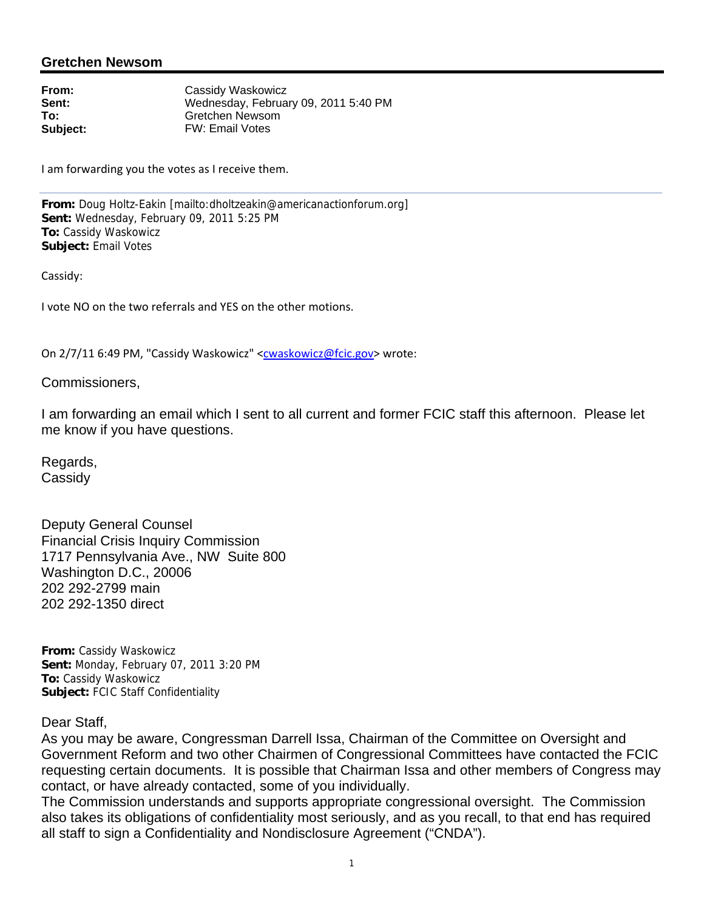## **Gretchen Newsom**

**From:** Cassidy Waskowicz<br> **Sent:** Cassidy Wednesday. Februa **Sent:** Wednesday, February 09, 2011 5:40 PM<br> **To:** Gretchen Newsom **To:** Gretchen Newsom **Subject:** FW: Email Votes

I am forwarding you the votes as I receive them.

**From:** Doug Holtz-Eakin [mailto:dholtzeakin@americanactionforum.org] **Sent:** Wednesday, February 09, 2011 5:25 PM **To:** Cassidy Waskowicz **Subject:** Email Votes

Cassidy:

I vote NO on the two referrals and YES on the other motions.

On 2/7/11 6:49 PM, "Cassidy Waskowicz" <cwaskowicz@fcic.gov> wrote:

Commissioners,

I am forwarding an email which I sent to all current and former FCIC staff this afternoon. Please let me know if you have questions.

Regards, **Cassidy** 

Deputy General Counsel Financial Crisis Inquiry Commission 1717 Pennsylvania Ave., NW Suite 800 Washington D.C., 20006 202 292-2799 main 202 292-1350 direct

**From:** Cassidy Waskowicz **Sent:** Monday, February 07, 2011 3:20 PM **To:** Cassidy Waskowicz **Subject:** FCIC Staff Confidentiality

Dear Staff,

As you may be aware, Congressman Darrell Issa, Chairman of the Committee on Oversight and Government Reform and two other Chairmen of Congressional Committees have contacted the FCIC requesting certain documents. It is possible that Chairman Issa and other members of Congress may contact, or have already contacted, some of you individually.

The Commission understands and supports appropriate congressional oversight. The Commission also takes its obligations of confidentiality most seriously, and as you recall, to that end has required all staff to sign a Confidentiality and Nondisclosure Agreement ("CNDA").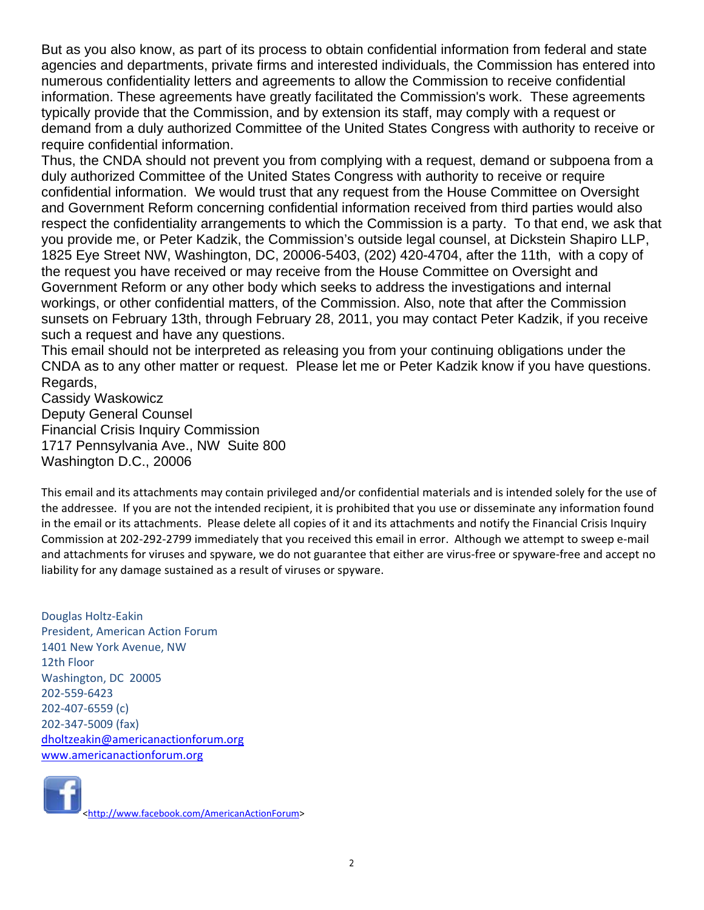But as you also know, as part of its process to obtain confidential information from federal and state agencies and departments, private firms and interested individuals, the Commission has entered into numerous confidentiality letters and agreements to allow the Commission to receive confidential information. These agreements have greatly facilitated the Commission's work. These agreements typically provide that the Commission, and by extension its staff, may comply with a request or demand from a duly authorized Committee of the United States Congress with authority to receive or require confidential information.

Thus, the CNDA should not prevent you from complying with a request, demand or subpoena from a duly authorized Committee of the United States Congress with authority to receive or require confidential information. We would trust that any request from the House Committee on Oversight and Government Reform concerning confidential information received from third parties would also respect the confidentiality arrangements to which the Commission is a party. To that end, we ask that you provide me, or Peter Kadzik, the Commission's outside legal counsel, at Dickstein Shapiro LLP, 1825 Eye Street NW, Washington, DC, 20006-5403, (202) 420-4704, after the 11th, with a copy of the request you have received or may receive from the House Committee on Oversight and Government Reform or any other body which seeks to address the investigations and internal workings, or other confidential matters, of the Commission. Also, note that after the Commission sunsets on February 13th, through February 28, 2011, you may contact Peter Kadzik, if you receive such a request and have any questions.

This email should not be interpreted as releasing you from your continuing obligations under the CNDA as to any other matter or request. Please let me or Peter Kadzik know if you have questions. Regards,

Cassidy Waskowicz Deputy General Counsel Financial Crisis Inquiry Commission 1717 Pennsylvania Ave., NW Suite 800 Washington D.C., 20006

This email and its attachments may contain privileged and/or confidential materials and is intended solely for the use of the addressee. If you are not the intended recipient, it is prohibited that you use or disseminate any information found in the email or its attachments. Please delete all copies of it and its attachments and notify the Financial Crisis Inquiry Commission at 202‐292‐2799 immediately that you received this email in error. Although we attempt to sweep e‐mail and attachments for viruses and spyware, we do not guarantee that either are virus-free or spyware-free and accept no liability for any damage sustained as a result of viruses or spyware.

Douglas Holtz‐Eakin President, American Action Forum 1401 New York Avenue, NW 12th Floor Washington, DC 20005 202‐559‐6423 202‐407‐6559 (c) 202‐347‐5009 (fax) dholtzeakin@americanactionforum.org www.americanactionforum.org



<http://www.facebook.com/AmericanActionForum>